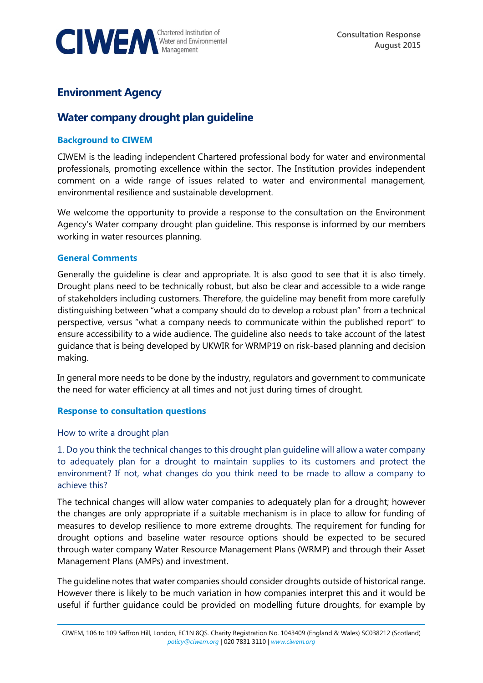

## **Environment Agency**

# **Water company drought plan guideline**

#### **Background to CIWEM**

CIWEM is the leading independent Chartered professional body for water and environmental professionals, promoting excellence within the sector. The Institution provides independent comment on a wide range of issues related to water and environmental management, environmental resilience and sustainable development.

We welcome the opportunity to provide a response to the consultation on the Environment Agency's Water company drought plan guideline. This response is informed by our members working in water resources planning.

#### **General Comments**

Generally the guideline is clear and appropriate. It is also good to see that it is also timely. Drought plans need to be technically robust, but also be clear and accessible to a wide range of stakeholders including customers. Therefore, the guideline may benefit from more carefully distinguishing between "what a company should do to develop a robust plan" from a technical perspective, versus "what a company needs to communicate within the published report" to ensure accessibility to a wide audience. The guideline also needs to take account of the latest guidance that is being developed by UKWIR for WRMP19 on risk-based planning and decision making.

In general more needs to be done by the industry, regulators and government to communicate the need for water efficiency at all times and not just during times of drought.

#### **Response to consultation questions**

How to write a drought plan

1. Do you think the technical changes to this drought plan guideline will allow a water company to adequately plan for a drought to maintain supplies to its customers and protect the environment? If not, what changes do you think need to be made to allow a company to achieve this?

The technical changes will allow water companies to adequately plan for a drought; however the changes are only appropriate if a suitable mechanism is in place to allow for funding of measures to develop resilience to more extreme droughts. The requirement for funding for drought options and baseline water resource options should be expected to be secured through water company Water Resource Management Plans (WRMP) and through their Asset Management Plans (AMPs) and investment.

The guideline notes that water companies should consider droughts outside of historical range. However there is likely to be much variation in how companies interpret this and it would be useful if further guidance could be provided on modelling future droughts, for example by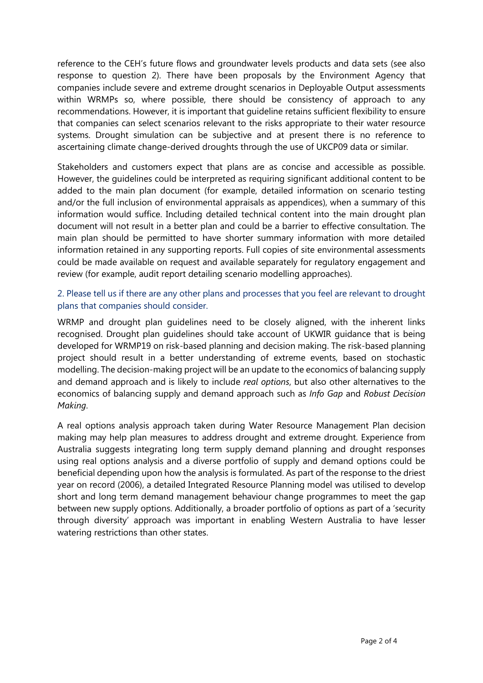reference to the CEH's future flows and groundwater levels products and data sets (see also response to question 2). There have been proposals by the Environment Agency that companies include severe and extreme drought scenarios in Deployable Output assessments within WRMPs so, where possible, there should be consistency of approach to any recommendations. However, it is important that guideline retains sufficient flexibility to ensure that companies can select scenarios relevant to the risks appropriate to their water resource systems. Drought simulation can be subjective and at present there is no reference to ascertaining climate change-derived droughts through the use of UKCP09 data or similar.

Stakeholders and customers expect that plans are as concise and accessible as possible. However, the guidelines could be interpreted as requiring significant additional content to be added to the main plan document (for example, detailed information on scenario testing and/or the full inclusion of environmental appraisals as appendices), when a summary of this information would suffice. Including detailed technical content into the main drought plan document will not result in a better plan and could be a barrier to effective consultation. The main plan should be permitted to have shorter summary information with more detailed information retained in any supporting reports. Full copies of site environmental assessments could be made available on request and available separately for regulatory engagement and review (for example, audit report detailing scenario modelling approaches).

### 2. Please tell us if there are any other plans and processes that you feel are relevant to drought plans that companies should consider.

WRMP and drought plan guidelines need to be closely aligned, with the inherent links recognised. Drought plan guidelines should take account of UKWIR guidance that is being developed for WRMP19 on risk-based planning and decision making. The risk-based planning project should result in a better understanding of extreme events, based on stochastic modelling. The decision-making project will be an update to the economics of balancing supply and demand approach and is likely to include *real options*, but also other alternatives to the economics of balancing supply and demand approach such as *Info Gap* and *Robust Decision Making*.

A real options analysis approach taken during Water Resource Management Plan decision making may help plan measures to address drought and extreme drought. Experience from Australia suggests integrating long term supply demand planning and drought responses using real options analysis and a diverse portfolio of supply and demand options could be beneficial depending upon how the analysis is formulated. As part of the response to the driest year on record (2006), a detailed Integrated Resource Planning model was utilised to develop short and long term demand management behaviour change programmes to meet the gap between new supply options. Additionally, a broader portfolio of options as part of a 'security through diversity' approach was important in enabling Western Australia to have lesser watering restrictions than other states.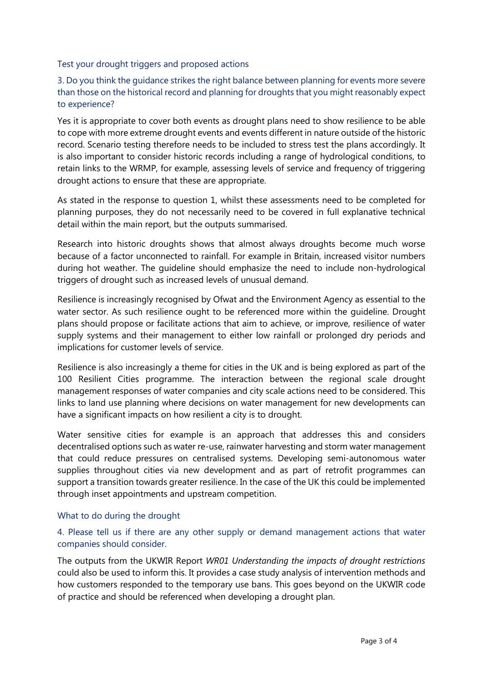Test your drought triggers and proposed actions

3. Do you think the guidance strikes the right balance between planning for events more severe than those on the historical record and planning for droughts that you might reasonably expect to experience?

Yes it is appropriate to cover both events as drought plans need to show resilience to be able to cope with more extreme drought events and events different in nature outside of the historic record. Scenario testing therefore needs to be included to stress test the plans accordingly. It is also important to consider historic records including a range of hydrological conditions, to retain links to the WRMP, for example, assessing levels of service and frequency of triggering drought actions to ensure that these are appropriate.

As stated in the response to question 1, whilst these assessments need to be completed for planning purposes, they do not necessarily need to be covered in full explanative technical detail within the main report, but the outputs summarised.

Research into historic droughts shows that almost always droughts become much worse because of a factor unconnected to rainfall. For example in Britain, increased visitor numbers during hot weather. The guideline should emphasize the need to include non-hydrological triggers of drought such as increased levels of unusual demand.

Resilience is increasingly recognised by Ofwat and the Environment Agency as essential to the water sector. As such resilience ought to be referenced more within the guideline. Drought plans should propose or facilitate actions that aim to achieve, or improve, resilience of water supply systems and their management to either low rainfall or prolonged dry periods and implications for customer levels of service.

Resilience is also increasingly a theme for cities in the UK and is being explored as part of the [100 Resilient Cities](http://www.100resilientcities.org/#/-_/) programme. The interaction between the regional scale drought management responses of water companies and city scale actions need to be considered. This links to land use planning where decisions on water management for new developments can have a significant impacts on how resilient a city is to drought.

Water sensitive cities for example is an approach that addresses this and considers decentralised options such as water re-use, rainwater harvesting and storm water management that could reduce pressures on centralised systems. Developing semi-autonomous water supplies throughout cities via new development and as part of retrofit programmes can support a transition towards greater resilience. In the case of the UK this could be implemented through inset appointments and upstream competition.

### What to do during the drought

## 4. Please tell us if there are any other supply or demand management actions that water companies should consider.

The outputs from the UKWIR Report *WR01 Understanding the impacts of drought restrictions* could also be used to inform this. It provides a case study analysis of intervention methods and how customers responded to the temporary use bans. This goes beyond on the UKWIR code of practice and should be referenced when developing a drought plan.